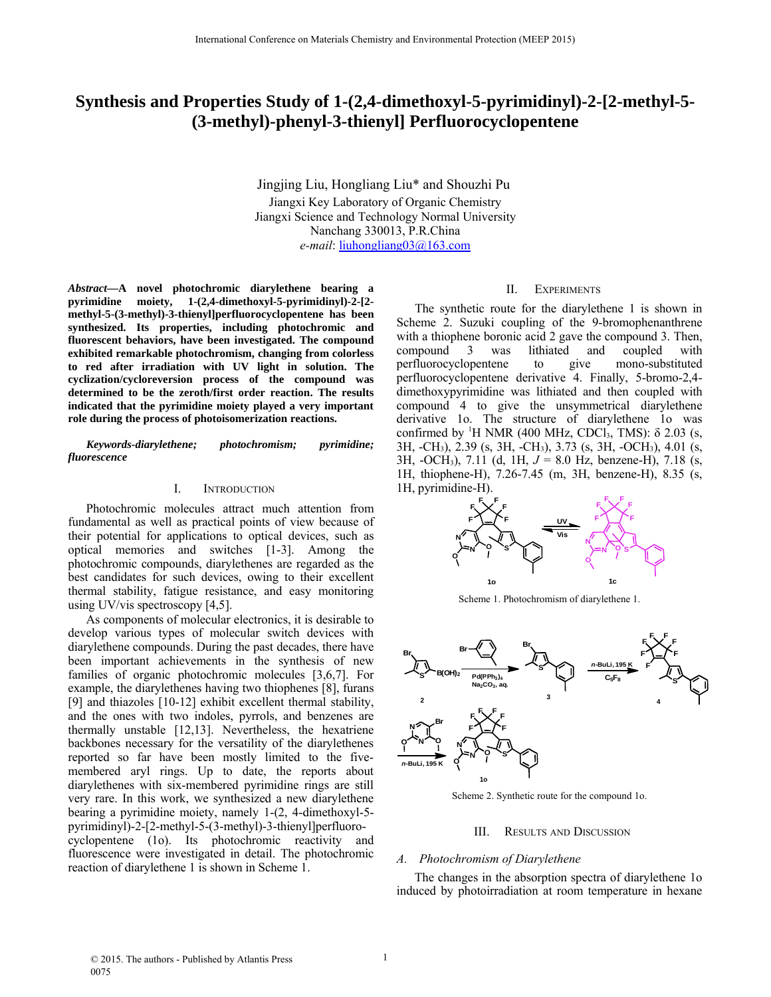# **Synthesis and Properties Study of 1-(2,4-dimethoxyl-5-pyrimidinyl)-2-[2-methyl-5- (3-methyl)-phenyl-3-thienyl] Perfluorocyclopentene**

Jingjing Liu, Hongliang Liu\* and Shouzhi Pu Jiangxi Key Laboratory of Organic Chemistry Jiangxi Science and Technology Normal University Nanchang 330013, P.R.China *e-mail*: liuhongliang03@163.com

*Abstract***—A novel photochromic diarylethene bearing a pyrimidine moiety, 1-(2,4-dimethoxyl-5-pyrimidinyl)-2-[2 methyl-5-(3-methyl)-3-thienyl]perfluorocyclopentene has been synthesized. Its properties, including photochromic and fluorescent behaviors, have been investigated. The compound exhibited remarkable photochromism, changing from colorless to red after irradiation with UV light in solution. The cyclization/cycloreversion process of the compound was determined to be the zeroth/first order reaction. The results indicated that the pyrimidine moiety played a very important role during the process of photoisomerization reactions.**

*Keywords-diarylethene; photochromism; pyrimidine; fluorescence* 

## I. INTRODUCTION

Photochromic molecules attract much attention from fundamental as well as practical points of view because of their potential for applications to optical devices, such as optical memories and switches [1-3]. Among the photochromic compounds, diarylethenes are regarded as the best candidates for such devices, owing to their excellent thermal stability, fatigue resistance, and easy monitoring using UV/vis spectroscopy [4,5].

As components of molecular electronics, it is desirable to develop various types of molecular switch devices with diarylethene compounds. During the past decades, there have been important achievements in the synthesis of new families of organic photochromic molecules [3,6,7]. For example, the diarylethenes having two thiophenes [8], furans [9] and thiazoles [10-12] exhibit excellent thermal stability, and the ones with two indoles, pyrrols, and benzenes are thermally unstable [12,13]. Nevertheless, the hexatriene backbones necessary for the versatility of the diarylethenes reported so far have been mostly limited to the fivemembered aryl rings. Up to date, the reports about diarylethenes with six-membered pyrimidine rings are still very rare. In this work, we synthesized a new diarylethene bearing a pyrimidine moiety, namely 1-(2, 4-dimethoxyl-5 pyrimidinyl)-2-[2-methyl-5-(3-methyl)-3-thienyl]perfluorocyclopentene (1o). Its photochromic reactivity and fluorescence were investigated in detail. The photochromic reaction of diarylethene 1 is shown in Scheme 1.

# II. EXPERIMENTS

The synthetic route for the diarylethene 1 is shown in Scheme 2. Suzuki coupling of the 9-bromophenanthrene with a thiophene boronic acid 2 gave the compound 3. Then, compound 3 was lithiated and coupled with perfluorocyclopentene to give mono-substituted perfluorocyclopentene derivative 4. Finally, 5-bromo-2,4 dimethoxypyrimidine was lithiated and then coupled with compound 4 to give the unsymmetrical diarylethene derivative 1o. The structure of diarylethene 1o was confirmed by <sup>1</sup>H NMR (400 MHz, CDCl<sub>3</sub>, TMS):  $\delta$  2.03 (s, 3H, -CH3), 2.39 (s, 3H, -CH3), 3.73 (s, 3H, -OCH3), 4.01 (s, 3H, -OCH3), 7.11 (d, 1H, *J* = 8.0 Hz, benzene-H), 7.18 (s, 1H, thiophene-H), 7.26-7.45 (m, 3H, benzene-H), 8.35 (s, 1H, pyrimidine-H).



Scheme 1. Photochromism of diarylethene 1.



Scheme 2. Synthetic route for the compound 1o.

### III. RESULTS AND DISCUSSION

## *A. Photochromism of Diarylethene*

The changes in the absorption spectra of diarylethene 1o induced by photoirradiation at room temperature in hexane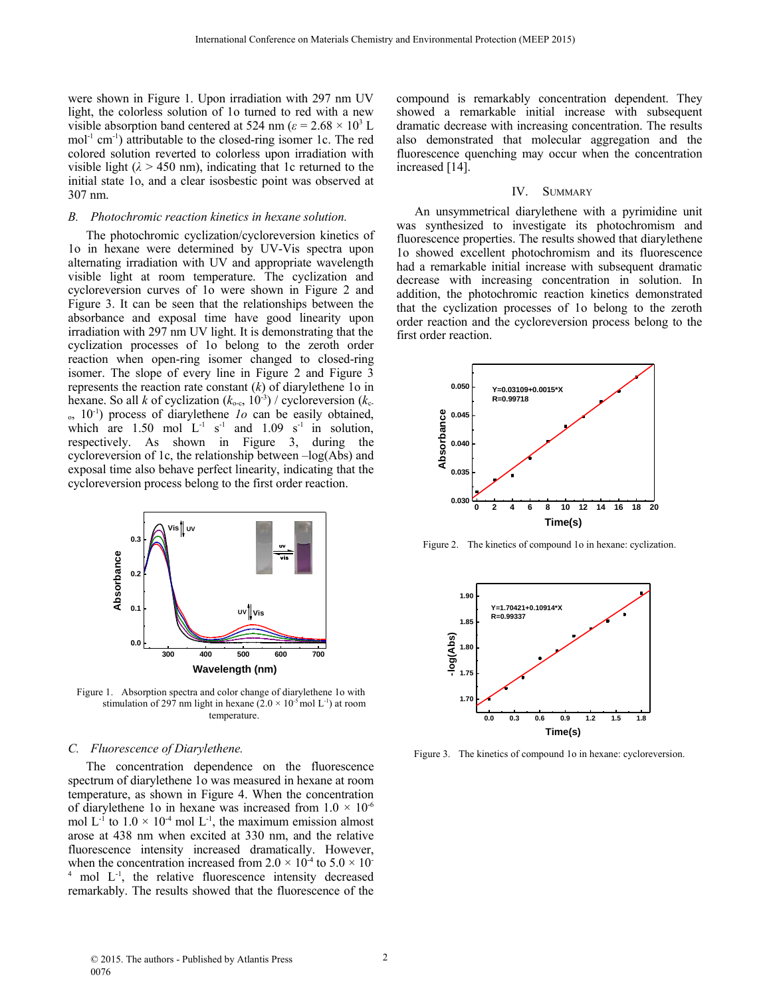were shown in Figure 1. Upon irradiation with 297 nm UV light, the colorless solution of 1o turned to red with a new visible absorption band centered at 524 nm ( $\varepsilon$  = 2.68  $\times$  10<sup>3</sup> L  $mol<sup>-1</sup>$  cm<sup>-1</sup>) attributable to the closed-ring isomer 1c. The red colored solution reverted to colorless upon irradiation with visible light  $(\lambda > 450 \text{ nm})$ , indicating that 1c returned to the initial state 1o, and a clear isosbestic point was observed at 307 nm.

## *B. Photochromic reaction kinetics in hexane solution.*

The photochromic cyclization/cycloreversion kinetics of 1o in hexane were determined by UV-Vis spectra upon alternating irradiation with UV and appropriate wavelength visible light at room temperature. The cyclization and cycloreversion curves of 1o were shown in Figure 2 and Figure 3. It can be seen that the relationships between the absorbance and exposal time have good linearity upon irradiation with 297 nm UV light. It is demonstrating that the cyclization processes of 1o belong to the zeroth order reaction when open-ring isomer changed to closed-ring isomer. The slope of every line in Figure 2 and Figure 3 represents the reaction rate constant (*k*) of diarylethene 1o in hexane. So all *k* of cyclization  $(k_{o-c}, 10^{-3})$  / cycloreversion  $(k_{c-1})$ o, 10-1) process of diarylethene *1o* can be easily obtained, which are 1.50 mol  $L^{-1}$  s<sup>-1</sup> and 1.09 s<sup>-1</sup> in solution, respectively. As shown in Figure 3, during the cycloreversion of 1c, the relationship between –log(Abs) and exposal time also behave perfect linearity, indicating that the cycloreversion process belong to the first order reaction.



Figure 1. Absorption spectra and color change of diarylethene 1o with stimulation of 297 nm light in hexane  $(2.0 \times 10^{-5} \text{ mol L}^{-1})$  at room temperature.

## *C. Fluorescence of Diarylethene.*

The concentration dependence on the fluorescence spectrum of diarylethene 1o was measured in hexane at room temperature, as shown in Figure 4. When the concentration of diarylethene 1o in hexane was increased from  $1.0 \times 10^{-6}$ mol  $L^{-1}$  to  $1.0 \times 10^{-4}$  mol  $L^{-1}$ , the maximum emission almost arose at 438 nm when excited at 330 nm, and the relative fluorescence intensity increased dramatically. However, when the concentration increased from  $2.0 \times 10^4$  to  $5.0 \times 10^-$ <sup>4</sup> mol L<sup>-1</sup>, the relative fluorescence intensity decreased remarkably. The results showed that the fluorescence of the compound is remarkably concentration dependent. They showed a remarkable initial increase with subsequent dramatic decrease with increasing concentration. The results also demonstrated that molecular aggregation and the fluorescence quenching may occur when the concentration increased [14].

#### IV. SUMMARY

An unsymmetrical diarylethene with a pyrimidine unit was synthesized to investigate its photochromism and fluorescence properties. The results showed that diarylethene 1o showed excellent photochromism and its fluorescence had a remarkable initial increase with subsequent dramatic decrease with increasing concentration in solution. In addition, the photochromic reaction kinetics demonstrated that the cyclization processes of 1o belong to the zeroth order reaction and the cycloreversion process belong to the first order reaction.



Figure 2. The kinetics of compound 1o in hexane: cyclization.



Figure 3. The kinetics of compound 1o in hexane: cycloreversion.